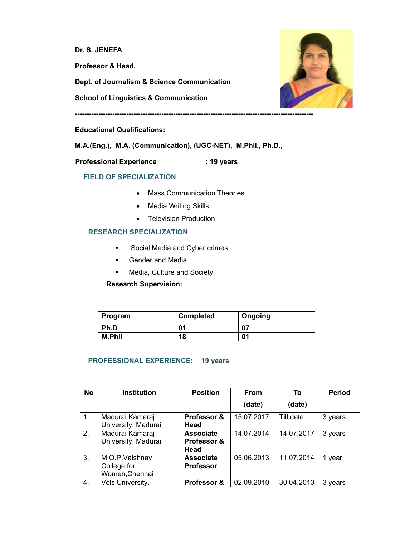**Dr. S. JENEFA**

**Professor & Head,** 

**Dept. of Journalism & Science Communication** 

**School of Linguistics & Communication** 



**------------------------------------------------------------------------------------------------------** 

#### **Educational Qualifications:**

**M.A.(Eng.), M.A. (Communication), (UGC-NET), M.Phil., Ph.D.,** 

**Professional Experience : 19 years** 

# **FIELD OF SPECIALIZATION**

- Mass Communication Theories
- Media Writing Skills
- Television Production

### **RESEARCH SPECIALIZATION**

- Social Media and Cyber crimes
- **E** Gender and Media
- **EXEC** Media, Culture and Society

 **Research Supervision:** 

| Program       | <b>Completed</b> | Ongoing |
|---------------|------------------|---------|
| Ph.D          | 01               | 07      |
| <b>M.Phil</b> | 18               | 01      |

### **PROFESSIONAL EXPERIENCE: 19 years**

| <b>No</b>        | <b>Institution</b>  | <b>Position</b>  | From       | To         | <b>Period</b> |
|------------------|---------------------|------------------|------------|------------|---------------|
|                  |                     |                  | (date)     | (date)     |               |
| $\overline{1}$ . | Madurai Kamaraj     | Professor &      | 15.07.2017 | Till date  | 3 years       |
|                  | University, Madurai | Head             |            |            |               |
| 2.               | Madurai Kamaraj     | <b>Associate</b> | 14.07.2014 | 14.07.2017 | 3 years       |
|                  | University, Madurai | Professor &      |            |            |               |
|                  |                     | Head             |            |            |               |
| 3.               | M.O.P.Vaishnav      | <b>Associate</b> | 05.06.2013 | 11.07.2014 | year<br>1     |
|                  | College for         | <b>Professor</b> |            |            |               |
|                  | Women, Chennai      |                  |            |            |               |
| 4.               | Vels University,    | Professor &      | 02.09.2010 | 30.04.2013 | 3<br>vears    |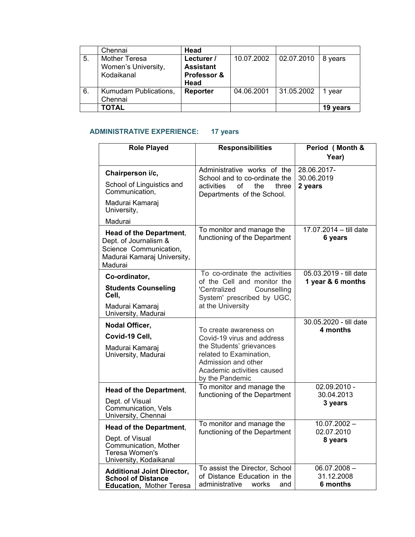|    | Chennai               | Head             |            |            |          |
|----|-----------------------|------------------|------------|------------|----------|
| 5. | <b>Mother Teresa</b>  | Lecturer /       | 10.07.2002 | 02.07.2010 | 8 years  |
|    | Women's University,   | <b>Assistant</b> |            |            |          |
|    | Kodaikanal            | Professor &      |            |            |          |
|    |                       | Head             |            |            |          |
| 6. | Kumudam Publications, | Reporter         | 04.06.2001 | 31.05.2002 | vear     |
|    | Chennai               |                  |            |            |          |
|    | <b>TOTAL</b>          |                  |            |            | 19 years |

# **ADMINISTRATIVE EXPERIENCE: 17 years**

| <b>Role Played</b>                                                                                                          | <b>Responsibilities</b>                                                                                                     | Period (Month &                             |
|-----------------------------------------------------------------------------------------------------------------------------|-----------------------------------------------------------------------------------------------------------------------------|---------------------------------------------|
|                                                                                                                             |                                                                                                                             | Year)                                       |
| Chairperson i/c,                                                                                                            | Administrative works of the<br>School and to co-ordinate the                                                                | 28.06.2017-<br>30.06.2019                   |
| School of Linguistics and<br>Communication,                                                                                 | activities<br>οf<br>the<br>three<br>Departments of the School.                                                              | 2 years                                     |
| Madurai Kamaraj<br>University,                                                                                              |                                                                                                                             |                                             |
| Madurai                                                                                                                     |                                                                                                                             |                                             |
| <b>Head of the Department,</b><br>Dept. of Journalism &<br>Science Communication,<br>Madurai Kamaraj University,<br>Madurai | To monitor and manage the<br>functioning of the Department                                                                  | 17.07.2014 - till date<br>6 years           |
| Co-ordinator,                                                                                                               | To co-ordinate the activities<br>of the Cell and monitor the                                                                | 05.03.2019 - till date<br>1 year & 6 months |
| <b>Students Counseling</b><br>Cell,                                                                                         | Counselling<br>'Centralized<br>System' prescribed by UGC,                                                                   |                                             |
| Madurai Kamaraj<br>University, Madurai                                                                                      | at the University                                                                                                           |                                             |
| Nodal Officer,                                                                                                              | To create awareness on                                                                                                      | 30.05.2020 - till date<br>4 months          |
| Covid-19 Cell,                                                                                                              | Covid-19 virus and address                                                                                                  |                                             |
| Madurai Kamaraj<br>University, Madurai                                                                                      | the Students' grievances<br>related to Examination,<br>Admission and other<br>Academic activities caused<br>by the Pandemic |                                             |
| Head of the Department,                                                                                                     | To monitor and manage the                                                                                                   | $02.09.2010 -$                              |
| Dept. of Visual<br>Communication, Vels<br>University, Chennai                                                               | functioning of the Department                                                                                               | 30.04.2013<br>3 years                       |
| <b>Head of the Department,</b>                                                                                              | To monitor and manage the                                                                                                   | $10.07.2002 -$<br>02.07.2010                |
| Dept. of Visual<br>Communication, Mother<br>Teresa Women's<br>University, Kodaikanal                                        | functioning of the Department                                                                                               | 8 years                                     |
| <b>Additional Joint Director,</b><br><b>School of Distance</b><br>Education, Mother Teresa                                  | To assist the Director, School<br>of Distance Education in the<br>administrative<br>works<br>and                            | $06.07.2008 -$<br>31.12.2008<br>6 months    |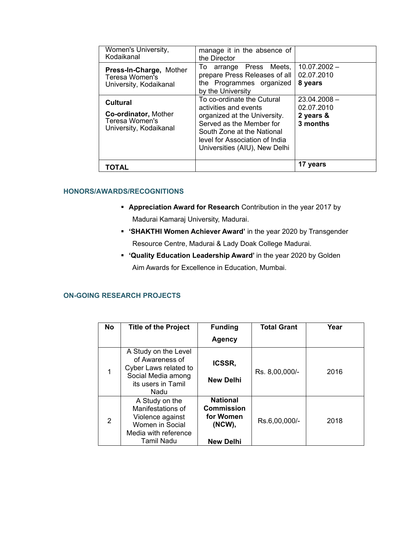| Women's University,<br>Kodaikanal                                                   | manage it in the absence of<br>the Director                                                                                                                                                                      |                                                       |
|-------------------------------------------------------------------------------------|------------------------------------------------------------------------------------------------------------------------------------------------------------------------------------------------------------------|-------------------------------------------------------|
| Press-In-Charge, Mother<br>Teresa Women's<br>University, Kodaikanal                 | arrange Press Meets,<br>To<br>prepare Press Releases of all<br>the Programmes organized<br>by the University                                                                                                     | $10.07.2002 -$<br>02.07.2010<br>8 years               |
| Cultural<br><b>Co-ordinator, Mother</b><br>Teresa Women's<br>University, Kodaikanal | To co-ordinate the Cutural<br>activities and events<br>organized at the University.<br>Served as the Member for<br>South Zone at the National<br>level for Association of India<br>Universities (AIU), New Delhi | $23.04.2008 -$<br>02.07.2010<br>2 years &<br>3 months |
| TOTAL                                                                               |                                                                                                                                                                                                                  | 17 years                                              |

# **HONORS/AWARDS/RECOGNITIONS**

- **Appreciation Award for Research** Contribution in the year 2017 by Madurai Kamaraj University, Madurai.
- **'SHAKTHI Women Achiever Award'** in the year 2020 by Transgender Resource Centre, Madurai & Lady Doak College Madurai.
- **'Quality Education Leadership Award'** in the year 2020 by Golden Aim Awards for Excellence in Education, Mumbai.

### **ON-GOING RESEARCH PROJECTS**

| <b>No</b>      | <b>Title of the Project</b>                                                                                          | <b>Funding</b>                                                                     | <b>Total Grant</b> | Year |
|----------------|----------------------------------------------------------------------------------------------------------------------|------------------------------------------------------------------------------------|--------------------|------|
|                |                                                                                                                      | Agency                                                                             |                    |      |
|                | A Study on the Level<br>of Awareness of<br>Cyber Laws related to<br>Social Media among<br>its users in Tamil<br>Nadu | <b>ICSSR,</b><br><b>New Delhi</b>                                                  | Rs. 8,00,000/-     | 2016 |
| $\overline{2}$ | A Study on the<br>Manifestations of<br>Violence against<br>Women in Social<br>Media with reference<br>Tamil Nadu     | <b>National</b><br><b>Commission</b><br>for Women<br>$(NCW)$ ,<br><b>New Delhi</b> | Rs.6,00,000/-      | 2018 |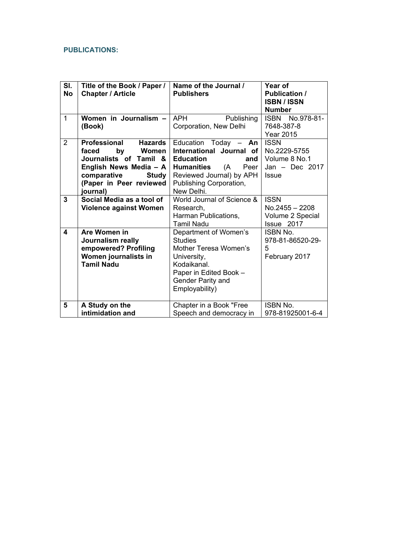### **PUBLICATIONS:**

| SI.<br><b>No</b> | Title of the Book / Paper /<br><b>Chapter / Article</b>                                                                                                                          | Name of the Journal /<br><b>Publishers</b>                                                                                                                                             | Year of<br><b>Publication /</b><br><b>ISBN / ISSN</b><br><b>Number</b>           |
|------------------|----------------------------------------------------------------------------------------------------------------------------------------------------------------------------------|----------------------------------------------------------------------------------------------------------------------------------------------------------------------------------------|----------------------------------------------------------------------------------|
| $\mathbf 1$      | Women in Journalism -<br>(Book)                                                                                                                                                  | <b>APH</b><br>Publishing<br>Corporation, New Delhi                                                                                                                                     | ISBN No.978-81-<br>7648-387-8<br><b>Year 2015</b>                                |
| $\overline{2}$   | Professional<br><b>Hazards</b><br>faced<br>by<br>Women<br>Journalists of Tamil &<br>English News Media - A<br>comparative<br><b>Study</b><br>(Paper in Peer reviewed<br>journal) | Education Today $-$ An<br>International Journal of<br><b>Education</b><br>and<br>(A)<br>Peer<br><b>Humanities</b><br>Reviewed Journal) by APH<br>Publishing Corporation,<br>New Delhi. | <b>ISSN</b><br>No.2229-5755<br>Volume 8 No.1<br>Jan $-$ Dec 2017<br><b>Issue</b> |
| 3                | Social Media as a tool of<br><b>Violence against Women</b>                                                                                                                       | World Journal of Science &<br>Research,<br>Harman Publications,<br><b>Tamil Nadu</b>                                                                                                   | <b>ISSN</b><br>No.2455 - 2208<br>Volume 2 Special<br>Issue 2017                  |
| 4                | Are Women in<br>Journalism really<br>empowered? Profiling<br>Women journalists in<br><b>Tamil Nadu</b>                                                                           | Department of Women's<br><b>Studies</b><br>Mother Teresa Women's<br>University,<br>Kodaikanal.<br>Paper in Edited Book -<br>Gender Parity and<br>Employability)                        | <b>ISBN No.</b><br>978-81-86520-29-<br>5<br>February 2017                        |
| 5                | A Study on the<br>intimidation and                                                                                                                                               | Chapter in a Book "Free<br>Speech and democracy in                                                                                                                                     | <b>ISBN No.</b><br>978-81925001-6-4                                              |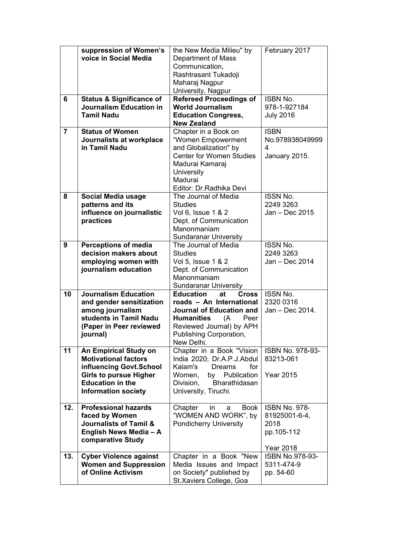|                | suppression of Women's<br>voice in Social Media     | the New Media Milieu" by<br>Department of Mass<br>Communication,<br>Rashtrasant Tukadoji<br>Maharaj Nagpur<br>University, Nagpur | February 2017                    |
|----------------|-----------------------------------------------------|----------------------------------------------------------------------------------------------------------------------------------|----------------------------------|
| 6              | <b>Status &amp; Significance of</b>                 | <b>Refereed Proceedings of</b>                                                                                                   | <b>ISBN No.</b>                  |
|                | <b>Journalism Education in</b><br><b>Tamil Nadu</b> | <b>World Journalism</b><br><b>Education Congress,</b>                                                                            | 978-1-927184<br><b>July 2016</b> |
|                |                                                     | <b>New Zealand</b>                                                                                                               |                                  |
| $\overline{7}$ | <b>Status of Women</b>                              | Chapter in a Book on                                                                                                             | <b>ISBN</b>                      |
|                | Journalists at workplace                            | "Women Empowerment                                                                                                               | No.978938049999                  |
|                | in Tamil Nadu                                       | and Globalization" by                                                                                                            | 4                                |
|                |                                                     | <b>Center for Women Studies</b>                                                                                                  | January 2015.                    |
|                |                                                     | Madurai Kamaraj                                                                                                                  |                                  |
|                |                                                     | University<br>Madurai                                                                                                            |                                  |
|                |                                                     | Editor: Dr. Radhika Devi                                                                                                         |                                  |
| 8              | Social Media usage                                  | The Journal of Media                                                                                                             | <b>ISSN No.</b>                  |
|                | patterns and its                                    | Studies                                                                                                                          | 2249 3263                        |
|                | influence on journalistic                           | Vol 6, Issue 1 & 2                                                                                                               | Jan - Dec 2015                   |
|                | practices                                           | Dept. of Communication<br>Manonmaniam                                                                                            |                                  |
|                |                                                     | <b>Sundaranar University</b>                                                                                                     |                                  |
| 9              | <b>Perceptions of media</b>                         | The Journal of Media                                                                                                             | <b>ISSN No.</b>                  |
|                | decision makers about                               | <b>Studies</b>                                                                                                                   | 2249 3263                        |
|                | employing women with                                | Vol 5, Issue 1 & 2                                                                                                               | Jan - Dec 2014                   |
|                | journalism education                                | Dept. of Communication                                                                                                           |                                  |
|                |                                                     | Manonmaniam                                                                                                                      |                                  |
| 10             | <b>Journalism Education</b>                         | <b>Sundaranar University</b><br><b>Cross</b><br><b>Education</b><br>at                                                           | <b>ISSN No.</b>                  |
|                | and gender sensitization                            | roads - An International                                                                                                         | 2320 0316                        |
|                | among journalism                                    | Journal of Education and                                                                                                         | Jan - Dec 2014.                  |
|                | students in Tamil Nadu                              | <b>Humanities</b><br>(A<br>Peer                                                                                                  |                                  |
|                | (Paper in Peer reviewed                             | Reviewed Journal) by APH                                                                                                         |                                  |
|                | journal)                                            | Publishing Corporation,<br>New Delhi.                                                                                            |                                  |
| 11             | <b>An Empirical Study on</b>                        | Chapter in a Book "Vision                                                                                                        | <b>ISBN No. 978-93-</b>          |
|                | <b>Motivational factors</b>                         | India 2020; Dr.A.P.J.Abdul                                                                                                       | 83213-061                        |
|                | influencing Govt.School                             | Kalam's<br>for<br><b>Dreams</b>                                                                                                  |                                  |
|                | <b>Girls to pursue Higher</b>                       | Women,<br>Publication<br>by                                                                                                      | <b>Year 2015</b>                 |
|                | <b>Education in the</b>                             | Bharathidasan<br>Division,                                                                                                       |                                  |
|                | <b>Information society</b>                          | University, Tiruchi.                                                                                                             |                                  |
| 12.            | <b>Professional hazards</b>                         | Book<br>Chapter<br>in.<br>a                                                                                                      | <b>ISBN No. 978-</b>             |
|                | faced by Women                                      | "WOMEN AND WORK", by                                                                                                             | 81925001-6-4,                    |
|                | <b>Journalists of Tamil &amp;</b>                   | <b>Pondicherry University</b>                                                                                                    | 2018                             |
|                | English News Media - A                              |                                                                                                                                  | pp.105-112                       |
|                | comparative Study                                   |                                                                                                                                  | <b>Year 2018</b>                 |
| 13.            | <b>Cyber Violence against</b>                       | Chapter in a Book "New                                                                                                           | ISBN No.978-93-                  |
|                | <b>Women and Suppression</b>                        | Media Issues and Impact                                                                                                          | 5311-474-9                       |
|                | of Online Activism                                  | on Society" published by                                                                                                         | pp. 54-60                        |
|                |                                                     | St.Xaviers College, Goa                                                                                                          |                                  |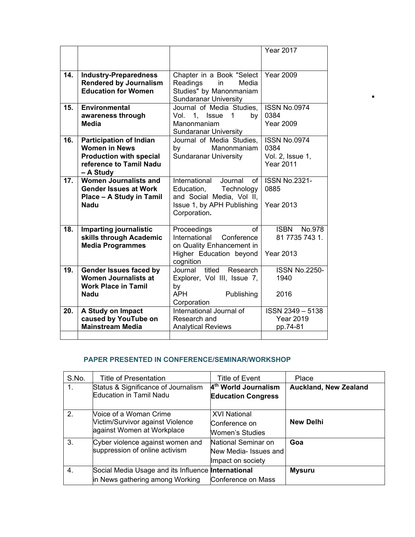|     |                                |                                | <b>Year 2017</b>      |
|-----|--------------------------------|--------------------------------|-----------------------|
|     |                                |                                |                       |
| 14. | <b>Industry-Preparedness</b>   | Chapter in a Book "Select      | <b>Year 2009</b>      |
|     | <b>Rendered by Journalism</b>  | Readings<br>in<br>Media        |                       |
|     | <b>Education for Women</b>     | Studies" by Manonmaniam        |                       |
|     |                                | <b>Sundaranar University</b>   |                       |
| 15. | <b>Environmental</b>           | Journal of Media Studies,      | <b>ISSN No.0974</b>   |
|     | awareness through              | 1, Issue<br>Vol.<br>1<br>by    | 0384                  |
|     | Media                          | Manonmaniam                    | <b>Year 2009</b>      |
|     |                                | <b>Sundaranar University</b>   |                       |
| 16. | <b>Participation of Indian</b> | Journal of Media Studies,      | <b>ISSN No.0974</b>   |
|     | <b>Women in News</b>           | Manonmaniam<br>by              | 0384                  |
|     | <b>Production with special</b> | <b>Sundaranar University</b>   | Vol. 2, Issue 1,      |
|     | reference to Tamil Nadu        |                                | <b>Year 2011</b>      |
|     | - A Study                      |                                |                       |
| 17. | <b>Women Journalists and</b>   | International<br>Journal<br>of | <b>ISSN No.2321-</b>  |
|     | <b>Gender Issues at Work</b>   | Technology<br>Education,       | 0885                  |
|     | Place - A Study in Tamil       | and Social Media, Vol II,      |                       |
|     | <b>Nadu</b>                    | Issue 1, by APH Publishing     | <b>Year 2013</b>      |
|     |                                | Corporation.                   |                       |
| 18. | <b>Imparting journalistic</b>  | $\alpha$ f<br>Proceedings      | <b>ISBN</b><br>No.978 |
|     | skills through Academic        | International<br>Conference    | 81 7735 743 1.        |
|     | <b>Media Programmes</b>        | on Quality Enhancement in      |                       |
|     |                                | Higher Education beyond        | <b>Year 2013</b>      |
|     |                                | cognition                      |                       |
| 19. | Gender Issues faced by         | titled<br>Journal<br>Research  | <b>ISSN No.2250-</b>  |
|     | <b>Women Journalists at</b>    | Explorer, Vol III, Issue 7,    | 1940                  |
|     | <b>Work Place in Tamil</b>     | by                             |                       |
|     | Nadu                           | <b>APH</b><br>Publishing       | 2016                  |
|     |                                | Corporation                    |                       |
| 20. | A Study on Impact              | International Journal of       | ISSN 2349-5138        |
|     | caused by YouTube on           | Research and                   | <b>Year 2019</b>      |
|     | <b>Mainstream Media</b>        | <b>Analytical Reviews</b>      | pp.74-81              |
|     |                                |                                |                       |

 $\blacksquare$ 

# **PAPER PRESENTED IN CONFERENCE/SEMINAR/WORKSHOP**

| S.No. | Title of Presentation                                                                        | Title of Event                                                    | Place                        |
|-------|----------------------------------------------------------------------------------------------|-------------------------------------------------------------------|------------------------------|
| 1.    | Status & Significance of Journalism<br><b>Education in Tamil Nadu</b>                        | 4 <sup>th</sup> World Journalism<br><b>Education Congress</b>     | <b>Auckland, New Zealand</b> |
| 2.    | Noice of a Woman Crime<br>Victim/Survivor against Violence<br>against Women at Workplace     | <b>XVI National</b><br>Conference on<br>Women's Studies.          | <b>New Delhi</b>             |
| 3.    | Cyber violence against women and<br>suppression of online activism                           | National Seminar on<br>New Media- Issues and<br>Impact on society | Goa                          |
| 4.    | Social Media Usage and its Influence <b>International</b><br>in News gathering among Working | Conference on Mass                                                | <b>Mysuru</b>                |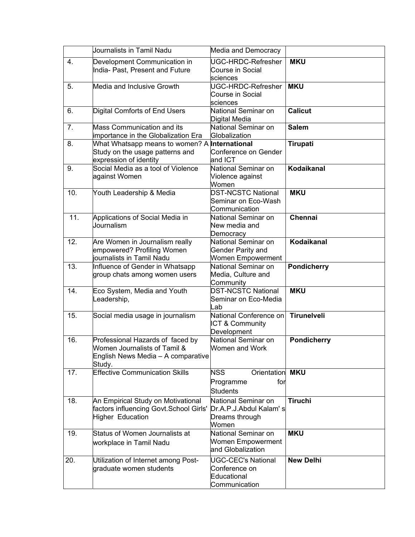|     | Journalists in Tamil Nadu                            | Media and Democracy                  |                    |
|-----|------------------------------------------------------|--------------------------------------|--------------------|
| 4.  | Development Communication in                         | UGC-HRDC-Refresher                   | <b>MKU</b>         |
|     | India- Past, Present and Future                      | Course in Social                     |                    |
|     |                                                      | sciences                             |                    |
| 5.  | Media and Inclusive Growth                           | UGC-HRDC-Refresher                   | <b>MKU</b>         |
|     |                                                      | Course in Social                     |                    |
|     |                                                      | sciences                             |                    |
| 6.  | Digital Comforts of End Users                        | National Seminar on                  | <b>Calicut</b>     |
|     |                                                      | Digital Media                        |                    |
| 7.  | <b>Mass Communication and its</b>                    | National Seminar on                  | <b>Salem</b>       |
|     | importance in the Globalization Era                  | Globalization                        |                    |
| 8.  | What Whatsapp means to women? A <b>International</b> |                                      | Tirupati           |
|     | Study on the usage patterns and                      | Conference on Gender                 |                    |
|     | expression of identity                               | and ICT                              |                    |
| 9.  | Social Media as a tool of Violence                   | National Seminar on                  | Kodaikanal         |
|     | against Women                                        | Violence against                     |                    |
|     |                                                      | Women                                |                    |
| 10. | Youth Leadership & Media                             | <b>DST-NCSTC National</b>            | <b>MKU</b>         |
|     |                                                      | Seminar on Eco-Wash<br>Communication |                    |
| 11. | Applications of Social Media in                      | National Seminar on                  | <b>Chennai</b>     |
|     | Journalism                                           | New media and                        |                    |
|     |                                                      | Democracy                            |                    |
| 12. | Are Women in Journalism really                       | National Seminar on                  | Kodaikanal         |
|     | empowered? Profiling Women                           | <b>Gender Parity and</b>             |                    |
|     | journalists in Tamil Nadu                            | <b>Women Empowerment</b>             |                    |
| 13. | Influence of Gender in Whatsapp                      | National Seminar on                  | <b>Pondicherry</b> |
|     | group chats among women users                        | Media, Culture and                   |                    |
|     |                                                      | Community                            |                    |
| 14. | Eco System, Media and Youth                          | <b>DST-NCSTC National</b>            | <b>MKU</b>         |
|     | Leadership,                                          | Seminar on Eco-Media                 |                    |
|     |                                                      | _ab                                  |                    |
| 15. | Social media usage in journalism                     | National Conference on               | <b>Tirunelveli</b> |
|     |                                                      | ICT & Community                      |                    |
|     |                                                      | Development                          |                    |
| 16. | Professional Hazards of faced by                     | National Seminar on                  | <b>Pondicherry</b> |
|     | Women Journalists of Tamil &                         | Women and Work                       |                    |
|     | English News Media - A comparative                   |                                      |                    |
|     | Study.                                               |                                      |                    |
| 17. | <b>Effective Communication Skills</b>                | <b>NSS</b><br>Orientation MKU        |                    |
|     |                                                      | Programme<br>for                     |                    |
|     |                                                      | <b>Students</b>                      |                    |
| 18. | An Empirical Study on Motivational                   | National Seminar on                  | <b>Tiruchi</b>     |
|     | factors influencing Govt.School Girls'               | Dr.A.P.J.Abdul Kalam's               |                    |
|     | <b>Higher Education</b>                              | Dreams through                       |                    |
|     |                                                      | Women                                |                    |
| 19. | Status of Women Journalists at                       | National Seminar on                  | <b>MKU</b>         |
|     | workplace in Tamil Nadu                              | <b>Women Empowerment</b>             |                    |
|     |                                                      | and Globalization                    |                    |
| 20. | Utilization of Internet among Post-                  | UGC-CEC's National                   | <b>New Delhi</b>   |
|     | graduate women students                              | Conference on                        |                    |
|     |                                                      | Educational                          |                    |
|     |                                                      | Communication                        |                    |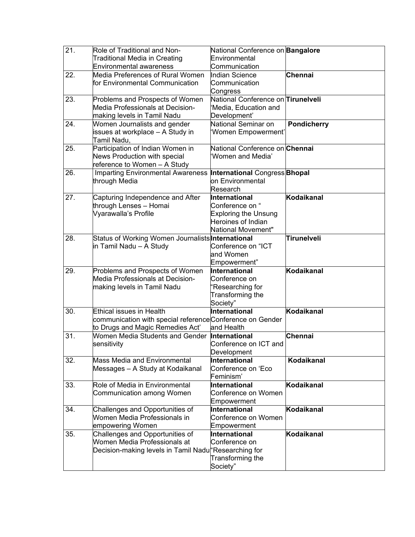| $\overline{21}$ | Role of Traditional and Non-<br>Traditional Media in Creating<br><b>Environmental awareness</b>                          | National Conference on <b>Bangalore</b><br>Environmental<br>Communication                                   |                    |
|-----------------|--------------------------------------------------------------------------------------------------------------------------|-------------------------------------------------------------------------------------------------------------|--------------------|
| 22.             | Media Preferences of Rural Women<br>for Environmental Communication                                                      | Indian Science<br>Communication<br>Congress                                                                 | Chennai            |
| 23.             | Problems and Prospects of Women<br>Media Professionals at Decision-<br>making levels in Tamil Nadu                       | National Conference on Tirunelveli<br>'Media, Education and<br>Development'                                 |                    |
| 24.             | Women Journalists and gender<br>issues at workplace - A Study in<br>Tamil Nadu,                                          | National Seminar on<br>Women Empowerment'                                                                   | <b>Pondicherry</b> |
| 25.             | Participation of Indian Women in<br>News Production with special<br>reference to Women - A Study                         | National Conference on Chennai<br>Women and Media'                                                          |                    |
| 26.             | <b>Imparting Environmental Awareness</b><br>through Media                                                                | <b>International Congress Bhopal</b><br>on Environmental<br>Research                                        |                    |
| 27.             | Capturing Independence and After<br>through Lenses - Homai<br>Vyarawalla's Profile                                       | International<br>Conference on "<br><b>Exploring the Unsung</b><br>Heroines of Indian<br>National Movement" | Kodaikanal         |
| 28.             | Status of Working Women Journalists International<br>in Tamil Nadu – A Study                                             | Conference on "ICT<br>and Women<br>Empowerment"                                                             | Tirunelveli        |
| 29.             | Problems and Prospects of Women<br>Media Professionals at Decision-<br>making levels in Tamil Nadu                       | International<br>Conference on<br>'Researching for<br>Transforming the<br>Society"                          | Kodaikanal         |
| 30.             | Ethical issues in Health<br>communication with special referenceConference on Gender<br>to Drugs and Magic Remedies Act' | International<br>and Health                                                                                 | Kodaikanal         |
| 31.             | Women Media Students and Gender<br>sensitivity                                                                           | International<br>Conference on ICT and<br>Development                                                       | Chennai            |
| 32.             | Mass Media and Environmental<br>Messages - A Study at Kodaikanal                                                         | International<br>Conference on 'Eco<br>Feminism'                                                            | <b>Kodaikanal</b>  |
| 33.             | Role of Media in Environmental<br>Communication among Women                                                              | International<br>Conference on Women<br>Empowerment                                                         | Kodaikanal         |
| 34.             | Challenges and Opportunities of<br>Women Media Professionals in<br>empowering Women                                      | International<br>Conference on Women<br>Empowerment                                                         | Kodaikanal         |
| 35.             | Challenges and Opportunities of<br>Women Media Professionals at<br>Decision-making levels in Tamil Nadur Researching for | International<br>Conference on<br>Transforming the<br>Society"                                              | Kodaikanal         |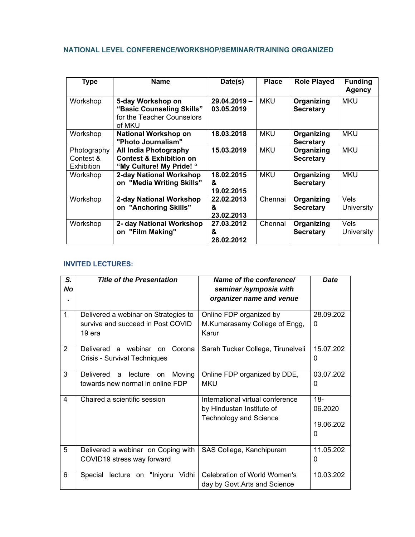# **NATIONAL LEVEL CONFERENCE/WORKSHOP/SEMINAR/TRAINING ORGANIZED**

| <b>Type</b>                                   | <b>Name</b>                                                                                   | Date(s)                       | <b>Place</b> | <b>Role Played</b>             | <b>Funding</b><br><b>Agency</b> |
|-----------------------------------------------|-----------------------------------------------------------------------------------------------|-------------------------------|--------------|--------------------------------|---------------------------------|
| Workshop                                      | 5-day Workshop on<br>"Basic Counseling Skills"<br>for the Teacher Counselors<br>of MKU        | $29.04.2019 -$<br>03.05.2019  | <b>MKU</b>   | Organizing<br><b>Secretary</b> | <b>MKU</b>                      |
| Workshop                                      | <b>National Workshop on</b><br>"Photo Journalism"                                             | 18.03.2018                    | <b>MKU</b>   | Organizing<br><b>Secretary</b> | <b>MKU</b>                      |
| Photography<br>Contest &<br><b>Exhibition</b> | <b>All India Photography</b><br><b>Contest &amp; Exhibition on</b><br>"My Culture! My Pride!" | 15.03.2019                    | <b>MKU</b>   | Organizing<br><b>Secretary</b> | <b>MKU</b>                      |
| Workshop                                      | 2-day National Workshop<br>on "Media Writing Skills"                                          | 18.02.2015<br>&<br>19.02.2015 | <b>MKU</b>   | Organizing<br><b>Secretary</b> | <b>MKU</b>                      |
| Workshop                                      | 2-day National Workshop<br>on "Anchoring Skills"                                              | 22.02.2013<br>&<br>23.02.2013 | Chennai      | Organizing<br><b>Secretary</b> | Vels<br>University              |
| Workshop                                      | 2- day National Workshop<br>on "Film Making"                                                  | 27.03.2012<br>&<br>28.02.2012 | Chennai      | Organizing<br><b>Secretary</b> | Vels<br><b>University</b>       |

### **INVITED LECTURES:**

| S.<br><b>No</b> | <b>Title of the Presentation</b>                                                    | Name of the conference/<br>seminar/symposia with<br>organizer name and venue                   | <b>Date</b>                         |
|-----------------|-------------------------------------------------------------------------------------|------------------------------------------------------------------------------------------------|-------------------------------------|
| $\mathbf{1}$    | Delivered a webinar on Strategies to<br>survive and succeed in Post COVID<br>19 era | Online FDP organized by<br>M.Kumarasamy College of Engg,<br>Karur                              | 28.09.202<br>0                      |
| $\overline{2}$  | Delivered a webinar<br>Corona<br><b>on</b><br>Crisis - Survival Techniques          | Sarah Tucker College, Tirunelveli                                                              | 15.07.202<br>0                      |
| 3               | Delivered a<br>Moving<br>lecture<br>on.<br>towards new normal in online FDP         | Online FDP organized by DDE,<br><b>MKU</b>                                                     | 03.07.202<br>0                      |
| 4               | Chaired a scientific session                                                        | International virtual conference<br>by Hindustan Institute of<br><b>Technology and Science</b> | $18 -$<br>06.2020<br>19.06.202<br>0 |
| 5               | Delivered a webinar on Coping with<br>COVID19 stress way forward                    | SAS College, Kanchipuram                                                                       | 11.05.202<br>0                      |
| 6               | "Iniyoru<br>Vidhi<br>Special<br>lecture<br>on                                       | <b>Celebration of World Women's</b><br>day by Govt.Arts and Science                            | 10.03.202                           |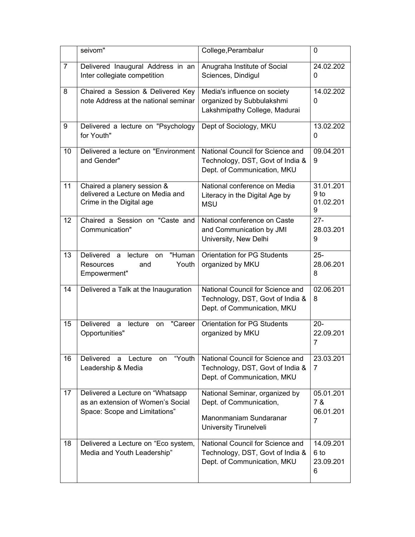|                 | seivom"                                                                                                | College, Perambalur                                                                                                  | $\mathbf{0}$                                   |
|-----------------|--------------------------------------------------------------------------------------------------------|----------------------------------------------------------------------------------------------------------------------|------------------------------------------------|
| 7               | Delivered Inaugural Address in an<br>Inter collegiate competition                                      | Anugraha Institute of Social<br>Sciences, Dindigul                                                                   | 24.02.202<br>$\Omega$                          |
| 8               | Chaired a Session & Delivered Key<br>note Address at the national seminar                              | Media's influence on society<br>organized by Subbulakshmi<br>Lakshmipathy College, Madurai                           | 14.02.202<br>0                                 |
| 9               | Delivered a lecture on "Psychology<br>for Youth"                                                       | Dept of Sociology, MKU                                                                                               | 13.02.202<br>0                                 |
| 10              | Delivered a lecture on "Environment<br>and Gender"                                                     | National Council for Science and<br>Technology, DST, Govt of India &<br>Dept. of Communication, MKU                  | 09.04.201<br>9                                 |
| 11              | Chaired a planery session &<br>delivered a Lecture on Media and<br>Crime in the Digital age            | National conference on Media<br>Literacy in the Digital Age by<br><b>MSU</b>                                         | 31.01.201<br>9 <sub>to</sub><br>01.02.201<br>9 |
| 12 <sup>2</sup> | Chaired a Session on "Caste and<br>Communication"                                                      | National conference on Caste<br>and Communication by JMI<br>University, New Delhi                                    | $27 -$<br>28.03.201<br>9                       |
| 13              | "Human<br>Delivered a lecture<br>on<br>Youth<br><b>Resources</b><br>and<br>Empowerment"                | <b>Orientation for PG Students</b><br>organized by MKU                                                               | $25 -$<br>28.06.201<br>8                       |
| 14              | Delivered a Talk at the Inauguration                                                                   | National Council for Science and<br>Technology, DST, Govt of India &<br>Dept. of Communication, MKU                  | 02.06.201<br>8                                 |
| 15              | Delivered<br>"Career<br>lecture<br>a<br>on<br>Opportunities"                                           | <b>Orientation for PG Students</b><br>organized by MKU                                                               | $20 -$<br>22.09.201<br>$\overline{7}$          |
| 16              | "Youth<br>Delivered<br>Lecture<br>a<br>on<br>Leadership & Media                                        | National Council for Science and<br>Technology, DST, Govt of India &<br>Dept. of Communication, MKU                  | 23.03.201<br>7                                 |
| 17              | Delivered a Lecture on "Whatsapp<br>as an extension of Women's Social<br>Space: Scope and Limitations" | National Seminar, organized by<br>Dept. of Communication,<br>Manonmaniam Sundaranar<br><b>University Tirunelveli</b> | 05.01.201<br>7 &<br>06.01.201<br>7             |
| 18              | Delivered a Lecture on "Eco system,<br>Media and Youth Leadership"                                     | National Council for Science and<br>Technology, DST, Govt of India &<br>Dept. of Communication, MKU                  | 14.09.201<br>6 to<br>23.09.201<br>6            |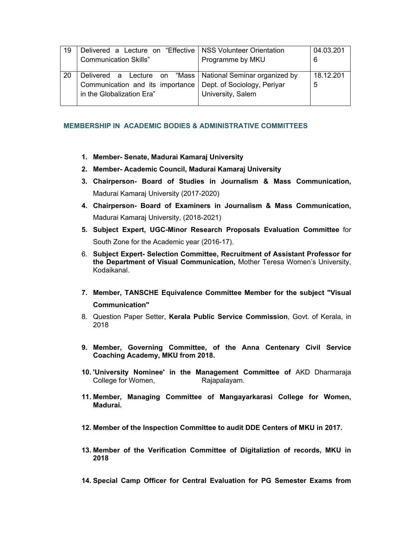| 19 | Delivered a Lecture on "Effective                                                                                             | <b>NSS Volunteer Orientation</b>                 | 04.03.201      |
|----|-------------------------------------------------------------------------------------------------------------------------------|--------------------------------------------------|----------------|
|    | <b>Communication Skills"</b>                                                                                                  | Programme by MKU                                 | 6              |
| 20 | Delivered a Lecture on "Mass   National Seminar organized by<br>Communication and its importance<br>in the Globalization Era" | Dept. of Sociology, Periyar<br>University, Salem | 18.12.201<br>5 |

#### **MEMBERSHIP IN ACADEMIC BODIES & ADMINISTRATIVE COMMITTEES**

- **1. Member- Senate, Madurai Kamaraj University**
- **2. Member- Academic Council, Madurai Kamaraj University**
- **3. Chairperson- Board of Studies in Journalism & Mass Communication,**  Madurai Kamaraj University (2017-2020)
- **4. Chairperson- Board of Examiners in Journalism & Mass Communication,**  Madurai Kamaraj University, (2018-2021)
- **5. Subject Expert, UGC-Minor Research Proposals Evaluation Committee** for South Zone for the Academic year (2016-17).
- 6. **Subject Expert- Selection Committee, Recruitment of Assistant Professor for the Department of Visual Communication,** Mother Teresa Women's University, Kodaikanal.
- **7. Member, TANSCHE Equivalence Committee Member for the subject "Visual Communication"**
- 8. Question Paper Setter, **Kerala Public Service Commission**, Govt. of Kerala, in 2018
- **9. Member, Governing Committee, of the Anna Centenary Civil Service Coaching Academy, MKU from 2018.**
- **10. 'University Nominee' in the Management Committee of** AKD Dharmaraja College for Women, Rajapalayam.
- **11. Member, Managing Committee of Mangayarkarasi College for Women, Madurai.**
- **12. Member of the Inspection Committee to audit DDE Centers of MKU in 2017.**
- **13. Member of the Verification Committee of Digitaliztion of records, MKU in 2018**
- **14. Special Camp Officer for Central Evaluation for PG Semester Exams from**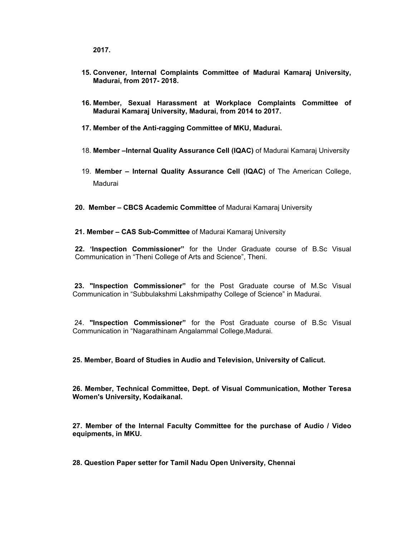**2017.** 

- **15. Convener, Internal Complaints Committee of Madurai Kamaraj University, Madurai, from 2017- 2018.**
- **16. Member, Sexual Harassment at Workplace Complaints Committee of Madurai Kamaraj University, Madurai, from 2014 to 2017.**
- **17. Member of the Anti-ragging Committee of MKU, Madurai.**
- 18. **Member –Internal Quality Assurance Cell (IQAC)** of Madurai Kamaraj University
- 19. **Member Internal Quality Assurance Cell (IQAC)** of The American College, Madurai
- **20. Member CBCS Academic Committee** of Madurai Kamaraj University
- **21. Member CAS Sub-Committee** of Madurai Kamaraj University

**22. 'Inspection Commissioner"** for the Under Graduate course of B.Sc Visual Communication in "Theni College of Arts and Science", Theni.

 **23. "Inspection Commissioner"** for the Post Graduate course of M.Sc Visual Communication in "Subbulakshmi Lakshmipathy College of Science" in Madurai.

 24. **"Inspection Commissioner"** for the Post Graduate course of B.Sc Visual Communication in "Nagarathinam Angalammal College,Madurai.

**25. Member, Board of Studies in Audio and Television, University of Calicut.** 

**26. Member, Technical Committee, Dept. of Visual Communication, Mother Teresa Women's University, Kodaikanal.** 

**27. Member of the Internal Faculty Committee for the purchase of Audio / Video equipments, in MKU.** 

**28. Question Paper setter for Tamil Nadu Open University, Chennai**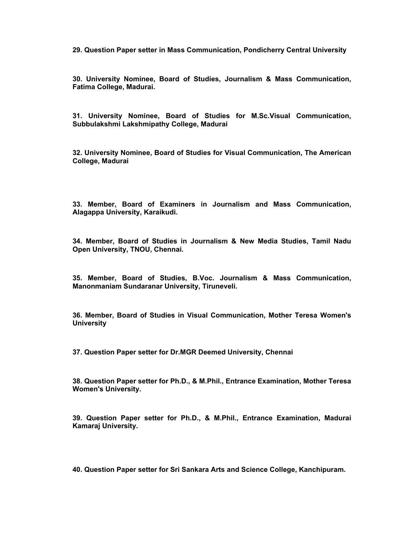**29. Question Paper setter in Mass Communication, Pondicherry Central University** 

**30. University Nominee, Board of Studies, Journalism & Mass Communication, Fatima College, Madurai.** 

**31. University Nominee, Board of Studies for M.Sc.Visual Communication, Subbulakshmi Lakshmipathy College, Madurai** 

**32. University Nominee, Board of Studies for Visual Communication, The American College, Madurai** 

**33. Member, Board of Examiners in Journalism and Mass Communication, Alagappa University, Karaikudi.** 

**34. Member, Board of Studies in Journalism & New Media Studies, Tamil Nadu Open University, TNOU, Chennai.** 

**35. Member, Board of Studies, B.Voc. Journalism & Mass Communication, Manonmaniam Sundaranar University, Tiruneveli.** 

**36. Member, Board of Studies in Visual Communication, Mother Teresa Women's University** 

**37. Question Paper setter for Dr.MGR Deemed University, Chennai**

**38. Question Paper setter for Ph.D., & M.Phil., Entrance Examination, Mother Teresa Women's University.** 

**39. Question Paper setter for Ph.D., & M.Phil., Entrance Examination, Madurai Kamaraj University.** 

**40. Question Paper setter for Sri Sankara Arts and Science College, Kanchipuram.**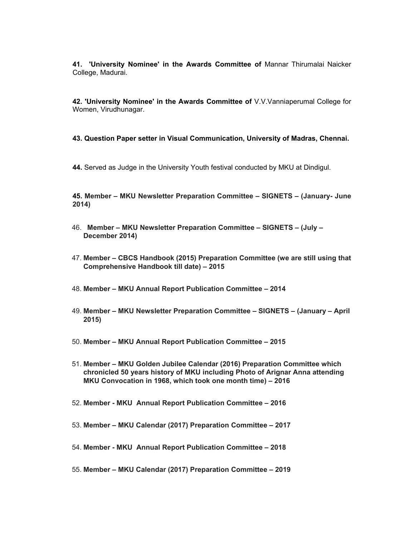**41. 'University Nominee' in the Awards Committee of** Mannar Thirumalai Naicker College, Madurai.

**42. 'University Nominee' in the Awards Committee of** V.V.Vanniaperumal College for Women, Virudhunagar.

**43. Question Paper setter in Visual Communication, University of Madras, Chennai.** 

**44.** Served as Judge in the University Youth festival conducted by MKU at Dindigul.

**45. Member – MKU Newsletter Preparation Committee – SIGNETS – (January- June 2014)**

- 46. **Member MKU Newsletter Preparation Committee SIGNETS (July December 2014)**
- 47. **Member CBCS Handbook (2015) Preparation Committee (we are still using that Comprehensive Handbook till date) – 2015**
- 48. **Member MKU Annual Report Publication Committee 2014**
- 49. **Member MKU Newsletter Preparation Committee SIGNETS (January April 2015)**
- 50. **Member MKU Annual Report Publication Committee 2015**
- 51. **Member MKU Golden Jubilee Calendar (2016) Preparation Committee which chronicled 50 years history of MKU including Photo of Arignar Anna attending MKU Convocation in 1968, which took one month time) – 2016**
- 52. **Member MKU Annual Report Publication Committee 2016**
- 53. **Member MKU Calendar (2017) Preparation Committee 2017**
- 54. **Member MKU Annual Report Publication Committee 2018**
- 55. **Member MKU Calendar (2017) Preparation Committee 2019**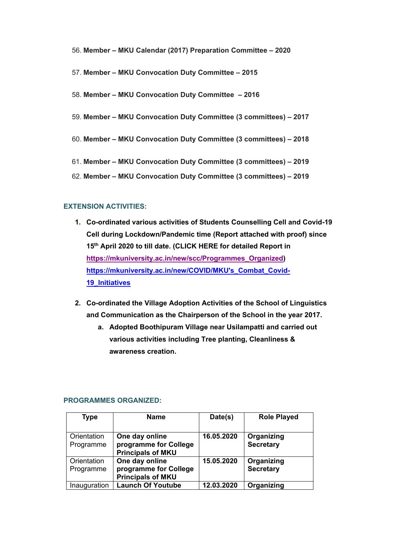- 56. **Member MKU Calendar (2017) Preparation Committee 2020**
- 57. **Member MKU Convocation Duty Committee 2015**
- 58. **Member MKU Convocation Duty Committee 2016**
- 59. **Member MKU Convocation Duty Committee (3 committees) 2017**
- 60. **Member MKU Convocation Duty Committee (3 committees) 2018**
- 61. **Member MKU Convocation Duty Committee (3 committees) 2019**
- 62. **Member MKU Convocation Duty Committee (3 committees) 2019**

#### **EXTENSION ACTIVITIES:**

- **1. Co-ordinated various activities of Students Counselling Cell and Covid-19 Cell during Lockdown/Pandemic time (Report attached with proof) since 15th April 2020 to till date. (CLICK HERE for detailed Report in https://mkuniversity.ac.in/new/scc/Programmes\_Organized) https://mkuniversity.ac.in/new/COVID/MKU's\_Combat\_Covid-19\_Initiatives**
- **2. Co-ordinated the Village Adoption Activities of the School of Linguistics and Communication as the Chairperson of the School in the year 2017.** 
	- **a. Adopted Boothipuram Village near Usilampatti and carried out various activities including Tree planting, Cleanliness & awareness creation.**

| Type         | <b>Name</b>              | Date(s)    | <b>Role Played</b> |
|--------------|--------------------------|------------|--------------------|
|              |                          |            |                    |
| Orientation  | One day online           | 16.05.2020 | Organizing         |
| Programme    | programme for College    |            | <b>Secretary</b>   |
|              | <b>Principals of MKU</b> |            |                    |
| Orientation  | One day online           | 15.05.2020 | Organizing         |
| Programme    | programme for College    |            | <b>Secretary</b>   |
|              | <b>Principals of MKU</b> |            |                    |
| Inauguration | <b>Launch Of Youtube</b> | 12.03.2020 | Organizing         |

#### **PROGRAMMES ORGANIZED:**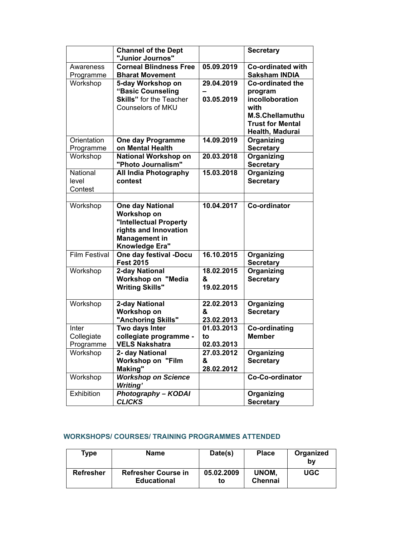|                        | <b>Channel of the Dept</b>                              |            | <b>Secretary</b>                                 |
|------------------------|---------------------------------------------------------|------------|--------------------------------------------------|
|                        | "Junior Journos"                                        |            |                                                  |
| Awareness<br>Programme | <b>Corneal Blindness Free</b><br><b>Bharat Movement</b> | 05.09.2019 | <b>Co-ordinated with</b><br><b>Saksham INDIA</b> |
| Workshop               | 5-day Workshop on<br>"Basic Counseling                  | 29.04.2019 | <b>Co-ordinated the</b><br>program               |
|                        | <b>Skills"</b> for the Teacher                          | 03.05.2019 | incolloboration                                  |
|                        | <b>Counselors of MKU</b>                                |            | with<br><b>M.S.Chellamuthu</b>                   |
|                        |                                                         |            | <b>Trust for Mental</b><br>Health, Madurai       |
| Orientation            | One day Programme                                       | 14.09.2019 | Organizing                                       |
| Programme              | on Mental Health                                        |            | <b>Secretary</b>                                 |
| Workshop               | <b>National Workshop on</b><br>"Photo Journalism"       | 20.03.2018 | Organizing<br><b>Secretary</b>                   |
| National               | <b>All India Photography</b>                            | 15.03.2018 | <b>Organizing</b>                                |
| level                  | contest                                                 |            | <b>Secretary</b>                                 |
| Contest                |                                                         |            |                                                  |
|                        |                                                         |            |                                                  |
| Workshop               | <b>One day National</b>                                 | 10.04.2017 | Co-ordinator                                     |
|                        | Workshop on                                             |            |                                                  |
|                        | "Intellectual Property                                  |            |                                                  |
|                        | rights and Innovation                                   |            |                                                  |
|                        | <b>Management in</b>                                    |            |                                                  |
|                        | Knowledge Era"                                          |            |                                                  |
| <b>Film Festival</b>   | One day festival -Docu<br><b>Fest 2015</b>              | 16.10.2015 | Organizing<br><b>Secretary</b>                   |
| Workshop               | 2-day National                                          | 18.02.2015 | Organizing                                       |
|                        | Workshop on "Media                                      | &          | <b>Secretary</b>                                 |
|                        | <b>Writing Skills"</b>                                  | 19.02.2015 |                                                  |
| Workshop               | 2-day National                                          | 22.02.2013 | <b>Organizing</b>                                |
|                        | Workshop on                                             | &          | <b>Secretary</b>                                 |
|                        | "Anchoring Skills"                                      | 23.02.2013 |                                                  |
| Inter                  | Two days Inter                                          | 01.03.2013 | Co-ordinating                                    |
| Collegiate             | collegiate programme -                                  | to         | <b>Member</b>                                    |
| Programme              | <b>VELS Nakshatra</b>                                   | 02.03.2013 |                                                  |
| Workshop               | 2- day National                                         | 27.03.2012 | Organizing                                       |
|                        | <b>Workshop on "Film</b>                                | &          | <b>Secretary</b>                                 |
|                        | Making"                                                 | 28.02.2012 |                                                  |
| Workshop               | <b>Workshop on Science</b><br><b>Writing'</b>           |            | Co-Co-ordinator                                  |
| Exhibition             | <b>Photography - KODAI</b>                              |            | Organizing                                       |
|                        | <b>CLICKS</b>                                           |            | <b>Secretary</b>                                 |

### **WORKSHOPS/ COURSES/ TRAINING PROGRAMMES ATTENDED**

| Type             | <b>Name</b>                                      | Date(s)          | <b>Place</b>            | Organized<br>b٧ |
|------------------|--------------------------------------------------|------------------|-------------------------|-----------------|
| <b>Refresher</b> | <b>Refresher Course in</b><br><b>Educational</b> | 05.02.2009<br>to | UNOM.<br><b>Chennai</b> | UGC             |